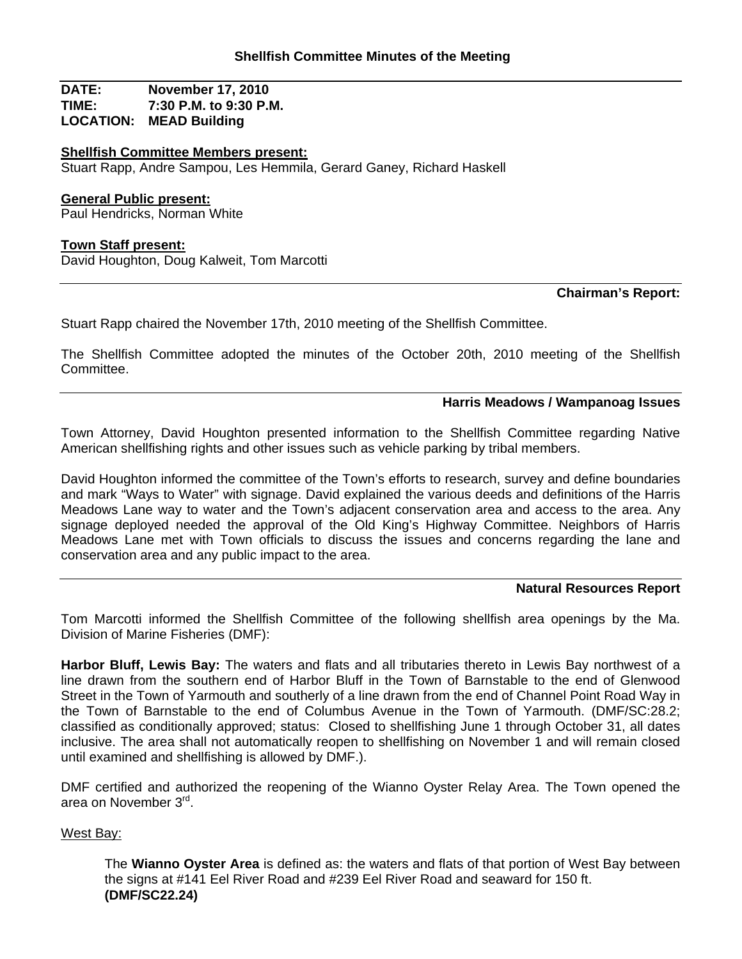**DATE: November 17, 2010 TIME: 7:30 P.M. to 9:30 P.M. LOCATION: MEAD Building**

## **Shellfish Committee Members present:**

Stuart Rapp, Andre Sampou, Les Hemmila, Gerard Ganey, Richard Haskell

### **General Public present:**

Paul Hendricks, Norman White

### **Town Staff present:**

David Houghton, Doug Kalweit, Tom Marcotti

## **Chairman's Report:**

Stuart Rapp chaired the November 17th, 2010 meeting of the Shellfish Committee.

The Shellfish Committee adopted the minutes of the October 20th, 2010 meeting of the Shellfish Committee.

# **Harris Meadows / Wampanoag Issues**

Town Attorney, David Houghton presented information to the Shellfish Committee regarding Native American shellfishing rights and other issues such as vehicle parking by tribal members.

David Houghton informed the committee of the Town's efforts to research, survey and define boundaries and mark "Ways to Water" with signage. David explained the various deeds and definitions of the Harris Meadows Lane way to water and the Town's adjacent conservation area and access to the area. Any signage deployed needed the approval of the Old King's Highway Committee. Neighbors of Harris Meadows Lane met with Town officials to discuss the issues and concerns regarding the lane and conservation area and any public impact to the area.

### **Natural Resources Report**

Tom Marcotti informed the Shellfish Committee of the following shellfish area openings by the Ma. Division of Marine Fisheries (DMF):

**Harbor Bluff, Lewis Bay:** The waters and flats and all tributaries thereto in Lewis Bay northwest of a line drawn from the southern end of Harbor Bluff in the Town of Barnstable to the end of Glenwood Street in the Town of Yarmouth and southerly of a line drawn from the end of Channel Point Road Way in the Town of Barnstable to the end of Columbus Avenue in the Town of Yarmouth. (DMF/SC:28.2; classified as conditionally approved; status: Closed to shellfishing June 1 through October 31, all dates inclusive. The area shall not automatically reopen to shellfishing on November 1 and will remain closed until examined and shellfishing is allowed by DMF.).

DMF certified and authorized the reopening of the Wianno Oyster Relay Area. The Town opened the area on November 3rd.

## West Bay:

The **Wianno Oyster Area** is defined as: the waters and flats of that portion of West Bay between the signs at #141 Eel River Road and #239 Eel River Road and seaward for 150 ft. **(DMF/SC22.24)**